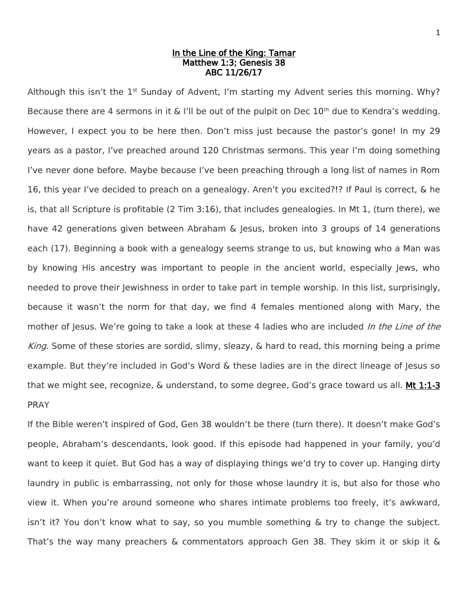## In the Line of the King: Tamar Matthew 1:3; Genesis 38 ABC 11/26/17

Although this isn't the 1<sup>st</sup> Sunday of Advent, I'm starting my Advent series this morning. Why? Because there are 4 sermons in it & I'll be out of the pulpit on Dec  $10^{th}$  due to Kendra's wedding. However, I expect you to be here then. Don't miss just because the pastor's gone! In my 29 years as a pastor, I've preached around 120 Christmas sermons. This year I'm doing something I've never done before. Maybe because I've been preaching through a long list of names in Rom 16, this year I've decided to preach on a genealogy. Aren't you excited?!? If Paul is correct, & he is, that all Scripture is profitable (2 Tim 3:16), that includes genealogies. In Mt 1, (turn there), we have 42 generations given between Abraham & Jesus, broken into 3 groups of 14 generations each (17). Beginning a book with a genealogy seems strange to us, but knowing who a Man was by knowing His ancestry was important to people in the ancient world, especially Jews, who needed to prove their Jewishness in order to take part in temple worship. In this list, surprisingly, because it wasn't the norm for that day, we find 4 females mentioned along with Mary, the mother of Jesus. We're going to take a look at these 4 ladies who are included *In the Line of the* King. Some of these stories are sordid, slimy, sleazy, & hard to read, this morning being a prime example. But they're included in God's Word & these ladies are in the direct lineage of Jesus so that we might see, recognize,  $\&$  understand, to some degree, God's grace toward us all. **Mt 1:1-3** PRAY

If the Bible weren't inspired of God, Gen 38 wouldn't be there (turn there). It doesn't make God's people, Abraham's descendants, look good. If this episode had happened in your family, you'd want to keep it quiet. But God has a way of displaying things we'd try to cover up. Hanging dirty laundry in public is embarrassing, not only for those whose laundry it is, but also for those who view it. When you're around someone who shares intimate problems too freely, it's awkward, isn't it? You don't know what to say, so you mumble something & try to change the subject. That's the way many preachers & commentators approach Gen 38. They skim it or skip it &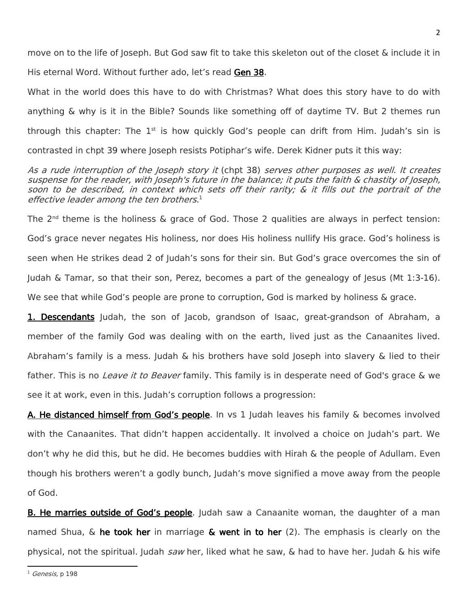move on to the life of Joseph. But God saw fit to take this skeleton out of the closet & include it in His eternal Word. Without further ado, let's read Gen 38.

What in the world does this have to do with Christmas? What does this story have to do with anything & why is it in the Bible? Sounds like something off of daytime TV. But 2 themes run through this chapter: The  $1^{st}$  is how quickly God's people can drift from Him. Judah's sin is contrasted in chpt 39 where Joseph resists Potiphar's wife. Derek Kidner puts it this way:

## As a rude interruption of the Joseph story it (chpt 38) serves other purposes as well. It creates suspense for the reader, with Joseph's future in the balance; it puts the faith & chastity of Joseph, soon to be described, in context which sets off their rarity; & it fills out the portrait of the effective leader among the ten brothers.<sup>1</sup>

The 2<sup>nd</sup> theme is the holiness & grace of God. Those 2 qualities are always in perfect tension: God's grace never negates His holiness, nor does His holiness nullify His grace. God's holiness is seen when He strikes dead 2 of Judah's sons for their sin. But God's grace overcomes the sin of Judah & Tamar, so that their son, Perez, becomes a part of the genealogy of Jesus (Mt 1:3-16). We see that while God's people are prone to corruption, God is marked by holiness & grace.

1. Descendants Judah, the son of Jacob, grandson of Isaac, great-grandson of Abraham, a member of the family God was dealing with on the earth, lived just as the Canaanites lived. Abraham's family is a mess. Judah  $\&$  his brothers have sold Joseph into slavery  $\&$  lied to their father. This is no *Leave it to Beaver* family. This family is in desperate need of God's grace & we see it at work, even in this. Judah's corruption follows a progression:

A. He distanced himself from God's people. In vs 1 Judah leaves his family & becomes involved with the Canaanites. That didn't happen accidentally. It involved a choice on Judah's part. We don't why he did this, but he did. He becomes buddies with Hirah & the people of Adullam. Even though his brothers weren't a godly bunch, Judah's move signified a move away from the people of God.

**B. He marries outside of God's people**. Judah saw a Canaanite woman, the daughter of a man named Shua,  $\&$  he took her in marriage  $\&$  went in to her (2). The emphasis is clearly on the physical, not the spiritual. Judah saw her, liked what he saw, & had to have her. Judah & his wife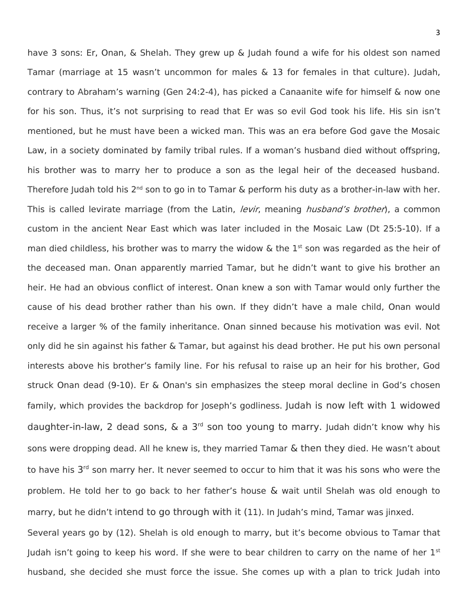have 3 sons: Er, Onan, & Shelah. They grew up & Judah found a wife for his oldest son named Tamar (marriage at 15 wasn't uncommon for males & 13 for females in that culture). Judah, contrary to Abraham's warning (Gen 24:2-4), has picked a Canaanite wife for himself & now one for his son. Thus, it's not surprising to read that Er was so evil God took his life. His sin isn't mentioned, but he must have been a wicked man. This was an era before God gave the Mosaic Law, in a society dominated by family tribal rules. If a woman's husband died without offspring, his brother was to marry her to produce a son as the legal heir of the deceased husband. Therefore Judah told his 2<sup>nd</sup> son to go in to Tamar & perform his duty as a brother-in-law with her. This is called levirate marriage (from the Latin, *levir*, meaning *husband's brother*), a common custom in the ancient Near East which was later included in the Mosaic Law (Dt 25:5-10). If a man died childless, his brother was to marry the widow & the  $1<sup>st</sup>$  son was regarded as the heir of the deceased man. Onan apparently married Tamar, but he didn't want to give his brother an heir. He had an obvious conflict of interest. Onan knew a son with Tamar would only further the cause of his dead brother rather than his own. If they didn't have a male child, Onan would receive a larger % of the family inheritance. Onan sinned because his motivation was evil. Not only did he sin against his father & Tamar, but against his dead brother. He put his own personal interests above his brother's family line. For his refusal to raise up an heir for his brother, God struck Onan dead (9-10). Er & Onan's sin emphasizes the steep moral decline in God's chosen family, which provides the backdrop for Joseph's godliness. Judah is now left with 1 widowed daughter-in-law, 2 dead sons, & a 3<sup>rd</sup> son too young to marry. Judah didn't know why his sons were dropping dead. All he knew is, they married Tamar & then they died. He wasn't about to have his 3<sup>rd</sup> son marry her. It never seemed to occur to him that it was his sons who were the problem. He told her to go back to her father's house & wait until Shelah was old enough to marry, but he didn't intend to go through with it (11). In Judah's mind, Tamar was jinxed. Several years go by (12). Shelah is old enough to marry, but it's become obvious to Tamar that Judah isn't going to keep his word. If she were to bear children to carry on the name of her  $1^{st}$ husband, she decided she must force the issue. She comes up with a plan to trick Judah into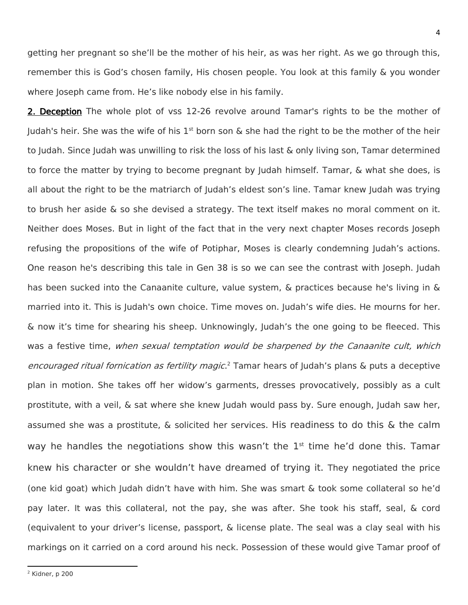getting her pregnant so she'll be the mother of his heir, as was her right. As we go through this, remember this is God's chosen family, His chosen people. You look at this family & you wonder where Joseph came from. He's like nobody else in his family.

2. Deception The whole plot of vss 12-26 revolve around Tamar's rights to be the mother of Judah's heir. She was the wife of his  $1<sup>st</sup>$  born son & she had the right to be the mother of the heir to Judah. Since Judah was unwilling to risk the loss of his last & only living son, Tamar determined to force the matter by trying to become pregnant by Judah himself. Tamar, & what she does, is all about the right to be the matriarch of Judah's eldest son's line. Tamar knew Judah was trying to brush her aside & so she devised a strategy. The text itself makes no moral comment on it. Neither does Moses. But in light of the fact that in the very next chapter Moses records Joseph refusing the propositions of the wife of Potiphar, Moses is clearly condemning Judah's actions. One reason he's describing this tale in Gen 38 is so we can see the contrast with Joseph. Judah has been sucked into the Canaanite culture, value system, & practices because he's living in & married into it. This is Judah's own choice. Time moves on. Judah's wife dies. He mourns for her. & now it's time for shearing his sheep. Unknowingly, Judah's the one going to be fleeced. This was a festive time, when sexual temptation would be sharpened by the Canaanite cult, which encouraged ritual fornication as fertility magic.<sup>2</sup> Tamar hears of Judah's plans & puts a deceptive plan in motion. She takes off her widow's garments, dresses provocatively, possibly as a cult prostitute, with a veil, & sat where she knew Judah would pass by. Sure enough, Judah saw her, assumed she was a prostitute, & solicited her services. His readiness to do this & the calm way he handles the negotiations show this wasn't the  $1<sup>st</sup>$  time he'd done this. Tamar knew his character or she wouldn't have dreamed of trying it. They negotiated the price (one kid goat) which Judah didn't have with him. She was smart & took some collateral so he'd pay later. It was this collateral, not the pay, she was after. She took his staff, seal, & cord (equivalent to your driver's license, passport, & license plate. The seal was a clay seal with his markings on it carried on a cord around his neck. Possession of these would give Tamar proof of

4

 $\overline{\phantom{a}}$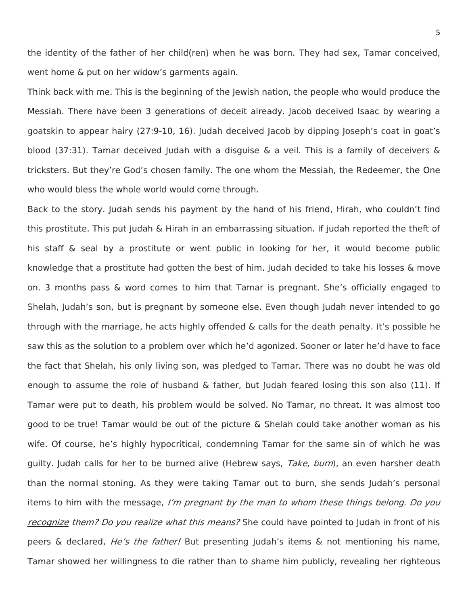the identity of the father of her child(ren) when he was born. They had sex, Tamar conceived, went home & put on her widow's garments again.

Think back with me. This is the beginning of the Jewish nation, the people who would produce the Messiah. There have been 3 generations of deceit already. Jacob deceived Isaac by wearing a goatskin to appear hairy (27:9-10, 16). Judah deceived Jacob by dipping Joseph's coat in goat's blood (37:31). Tamar deceived Judah with a disguise  $\&$  a veil. This is a family of deceivers  $\&$ tricksters. But they're God's chosen family. The one whom the Messiah, the Redeemer, the One who would bless the whole world would come through.

Back to the story. Judah sends his payment by the hand of his friend, Hirah, who couldn't find this prostitute. This put Judah & Hirah in an embarrassing situation. If Judah reported the theft of his staff & seal by a prostitute or went public in looking for her, it would become public knowledge that a prostitute had gotten the best of him. Judah decided to take his losses & move on. 3 months pass & word comes to him that Tamar is pregnant. She's officially engaged to Shelah, Judah's son, but is pregnant by someone else. Even though Judah never intended to go through with the marriage, he acts highly offended & calls for the death penalty. It's possible he saw this as the solution to a problem over which he'd agonized. Sooner or later he'd have to face the fact that Shelah, his only living son, was pledged to Tamar. There was no doubt he was old enough to assume the role of husband  $\&$  father, but Judah feared losing this son also (11). If Tamar were put to death, his problem would be solved. No Tamar, no threat. It was almost too good to be true! Tamar would be out of the picture & Shelah could take another woman as his wife. Of course, he's highly hypocritical, condemning Tamar for the same sin of which he was guilty. Judah calls for her to be burned alive (Hebrew says, Take, burn), an even harsher death than the normal stoning. As they were taking Tamar out to burn, she sends Judah's personal items to him with the message, I'm pregnant by the man to whom these things belong. Do you recognize them? Do you realize what this means? She could have pointed to Judah in front of his peers & declared, *He's the father!* But presenting Judah's items & not mentioning his name, Tamar showed her willingness to die rather than to shame him publicly, revealing her righteous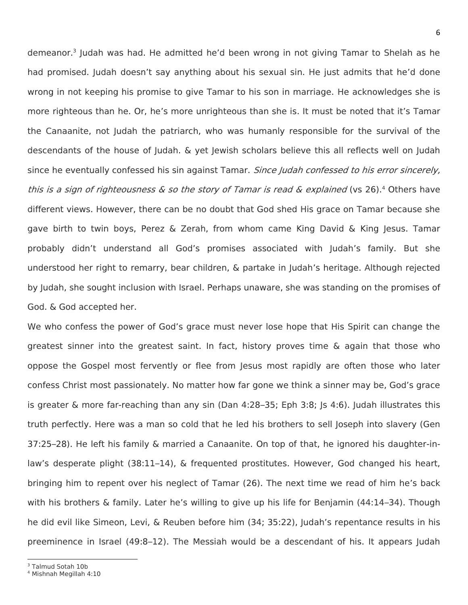demeanor.<sup>3</sup> Judah was had. He admitted he'd been wrong in not giving Tamar to Shelah as he had promised. Judah doesn't say anything about his sexual sin. He just admits that he'd done wrong in not keeping his promise to give Tamar to his son in marriage. He acknowledges she is more righteous than he. Or, he's more unrighteous than she is. It must be noted that it's Tamar the Canaanite, not Judah the patriarch, who was humanly responsible for the survival of the descendants of the house of Judah. & yet Jewish scholars believe this all reflects well on Judah since he eventually confessed his sin against Tamar. Since Judah confessed to his error sincerely, this is a sign of righteousness & so the story of Tamar is read & explained (vs 26).<sup>4</sup> Others have different views. However, there can be no doubt that God shed His grace on Tamar because she gave birth to twin boys, Perez & Zerah, from whom came King David & King Jesus. Tamar probably didn't understand all God's promises associated with Judah's family. But she understood her right to remarry, bear children, & partake in Judah's heritage. Although rejected by Judah, she sought inclusion with Israel. Perhaps unaware, she was standing on the promises of God. & God accepted her.

We who confess the power of God's grace must never lose hope that His Spirit can change the greatest sinner into the greatest saint. In fact, history proves time  $\&$  again that those who oppose the Gospel most fervently or flee from Jesus most rapidly are often those who later confess Christ most passionately. No matter how far gone we think a sinner may be, God's grace is greater & more far-reaching than any sin (Dan 4:28–35; Eph 3:8; Js 4:6). Judah illustrates this truth perfectly. Here was a man so cold that he led his brothers to sell Joseph into slavery (Gen 37:25–28). He left his family & married a Canaanite. On top of that, he ignored his daughter-inlaw's desperate plight (38:11–14), & frequented prostitutes. However, God changed his heart, bringing him to repent over his neglect of Tamar (26). The next time we read of him he's back with his brothers & family. Later he's willing to give up his life for Benjamin (44:14–34). Though he did evil like Simeon, Levi, & Reuben before him (34; 35:22), Judah's repentance results in his preeminence in Israel (49:8–12). The Messiah would be a descendant of his. It appears Judah

 $\overline{a}$ <sup>3</sup> Talmud Sotah 10b

<sup>4</sup> Mishnah Megillah 4:10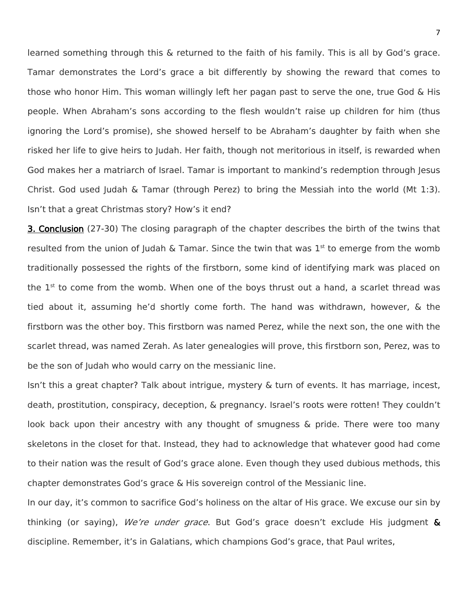learned something through this & returned to the faith of his family. This is all by God's grace. Tamar demonstrates the Lord's grace a bit differently by showing the reward that comes to those who honor Him. This woman willingly left her pagan past to serve the one, true God & His people. When Abraham's sons according to the flesh wouldn't raise up children for him (thus ignoring the Lord's promise), she showed herself to be Abraham's daughter by faith when she risked her life to give heirs to Judah. Her faith, though not meritorious in itself, is rewarded when God makes her a matriarch of Israel. Tamar is important to mankind's redemption through Jesus Christ. God used Judah & Tamar (through Perez) to bring the Messiah into the world (Mt 1:3). Isn't that a great Christmas story? How's it end?

3. Conclusion (27-30) The closing paragraph of the chapter describes the birth of the twins that resulted from the union of Judah & Tamar. Since the twin that was  $1<sup>st</sup>$  to emerge from the womb traditionally possessed the rights of the firstborn, some kind of identifying mark was placed on the  $1<sup>st</sup>$  to come from the womb. When one of the boys thrust out a hand, a scarlet thread was tied about it, assuming he'd shortly come forth. The hand was withdrawn, however, & the firstborn was the other boy. This firstborn was named Perez, while the next son, the one with the scarlet thread, was named Zerah. As later genealogies will prove, this firstborn son, Perez, was to be the son of Judah who would carry on the messianic line.

Isn't this a great chapter? Talk about intrigue, mystery & turn of events. It has marriage, incest, death, prostitution, conspiracy, deception, & pregnancy. Israel's roots were rotten! They couldn't look back upon their ancestry with any thought of smugness & pride. There were too many skeletons in the closet for that. Instead, they had to acknowledge that whatever good had come to their nation was the result of God's grace alone. Even though they used dubious methods, this chapter demonstrates God's grace & His sovereign control of the Messianic line.

In our day, it's common to sacrifice God's holiness on the altar of His grace. We excuse our sin by thinking (or saying), We're under grace. But God's grace doesn't exclude His judgment  $\delta$ discipline. Remember, it's in Galatians, which champions God's grace, that Paul writes,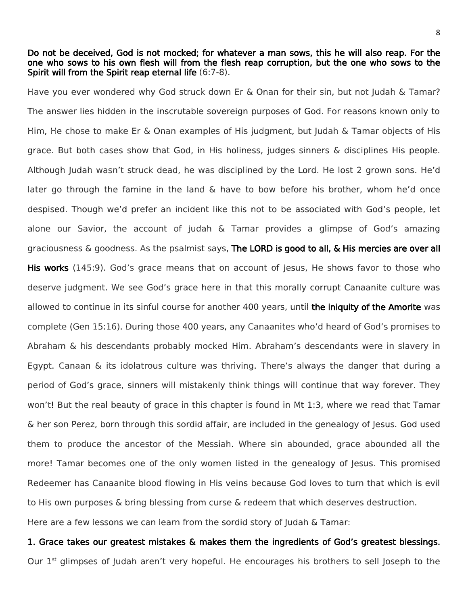## Do not be deceived, God is not mocked; for whatever a man sows, this he will also reap. For the one who sows to his own flesh will from the flesh reap corruption, but the one who sows to the Spirit will from the Spirit reap eternal life (6:7-8).

Have you ever wondered why God struck down Er & Onan for their sin, but not Judah & Tamar? The answer lies hidden in the inscrutable sovereign purposes of God. For reasons known only to Him, He chose to make Er & Onan examples of His judgment, but Judah & Tamar objects of His grace. But both cases show that God, in His holiness, judges sinners & disciplines His people. Although Judah wasn't struck dead, he was disciplined by the Lord. He lost 2 grown sons. He'd later go through the famine in the land  $\&$  have to bow before his brother, whom he'd once despised. Though we'd prefer an incident like this not to be associated with God's people, let alone our Savior, the account of Judah & Tamar provides a glimpse of God's amazing graciousness  $\&$  goodness. As the psalmist says, The LORD is good to all,  $\&$  His mercies are over all His works (145:9). God's grace means that on account of Jesus, He shows favor to those who deserve judgment. We see God's grace here in that this morally corrupt Canaanite culture was allowed to continue in its sinful course for another 400 years, until the iniquity of the Amorite was complete (Gen 15:16). During those 400 years, any Canaanites who'd heard of God's promises to Abraham & his descendants probably mocked Him. Abraham's descendants were in slavery in Egypt. Canaan & its idolatrous culture was thriving. There's always the danger that during a period of God's grace, sinners will mistakenly think things will continue that way forever. They won't! But the real beauty of grace in this chapter is found in Mt 1:3, where we read that Tamar & her son Perez, born through this sordid affair, are included in the genealogy of Jesus. God used them to produce the ancestor of the Messiah. Where sin abounded, grace abounded all the more! Tamar becomes one of the only women listed in the genealogy of Jesus. This promised Redeemer has Canaanite blood flowing in His veins because God loves to turn that which is evil to His own purposes & bring blessing from curse & redeem that which deserves destruction. Here are a few lessons we can learn from the sordid story of Judah & Tamar:

1. Grace takes our greatest mistakes & makes them the ingredients of God's greatest blessings. Our 1<sup>st</sup> glimpses of Judah aren't very hopeful. He encourages his brothers to sell Joseph to the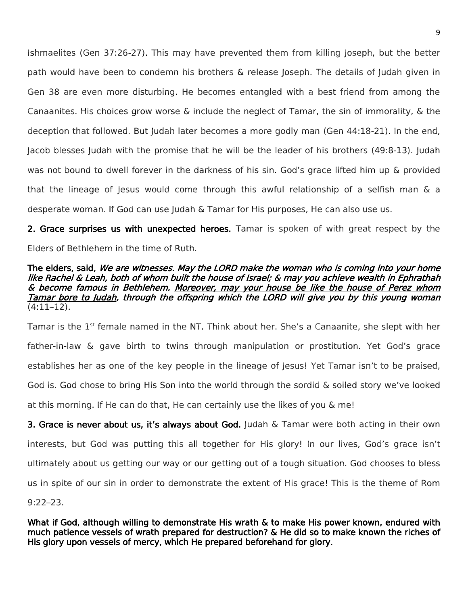Ishmaelites (Gen 37:26-27). This may have prevented them from killing Joseph, but the better path would have been to condemn his brothers & release Joseph. The details of Judah given in Gen 38 are even more disturbing. He becomes entangled with a best friend from among the Canaanites. His choices grow worse & include the neglect of Tamar, the sin of immorality, & the deception that followed. But Judah later becomes a more godly man (Gen 44:18-21). In the end, Jacob blesses Judah with the promise that he will be the leader of his brothers (49:8-13). Judah was not bound to dwell forever in the darkness of his sin. God's grace lifted him up & provided that the lineage of Jesus would come through this awful relationship of a selfish man & a desperate woman. If God can use Judah & Tamar for His purposes, He can also use us.

2. Grace surprises us with unexpected heroes. Tamar is spoken of with great respect by the Elders of Bethlehem in the time of Ruth.

## The elders, said, We are witnesses. May the LORD make the woman who is coming into your home like Rachel & Leah, both of whom built the house of Israel; & may you achieve wealth in Ephrathah & become famous in Bethlehem. Moreover, may your house be like the house of Perez whom Tamar bore to Judah, through the offspring which the LORD will give you by this young woman (4:11–12).

Tamar is the 1<sup>st</sup> female named in the NT. Think about her. She's a Canaanite, she slept with her father-in-law & gave birth to twins through manipulation or prostitution. Yet God's grace establishes her as one of the key people in the lineage of Jesus! Yet Tamar isn't to be praised, God is. God chose to bring His Son into the world through the sordid & soiled story we've looked at this morning. If He can do that, He can certainly use the likes of you & me!

3. Grace is never about us, it's always about God. Judah & Tamar were both acting in their own interests, but God was putting this all together for His glory! In our lives, God's grace isn't ultimately about us getting our way or our getting out of a tough situation. God chooses to bless us in spite of our sin in order to demonstrate the extent of His grace! This is the theme of Rom

9:22–23.

What if God, although willing to demonstrate His wrath & to make His power known, endured with much patience vessels of wrath prepared for destruction? & He did so to make known the riches of His glory upon vessels of mercy, which He prepared beforehand for glory.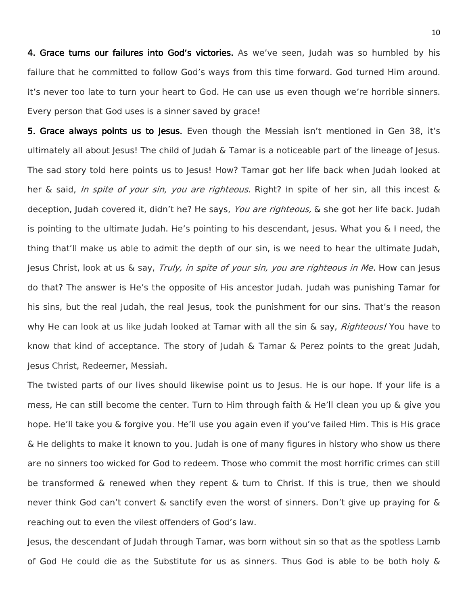4. Grace turns our failures into God's victories. As we've seen, ludah was so humbled by his failure that he committed to follow God's ways from this time forward. God turned Him around. It's never too late to turn your heart to God. He can use us even though we're horrible sinners. Every person that God uses is a sinner saved by grace!

**5. Grace always points us to lesus.** Even though the Messiah isn't mentioned in Gen 38, it's ultimately all about Jesus! The child of Judah & Tamar is a noticeable part of the lineage of Jesus. The sad story told here points us to Jesus! How? Tamar got her life back when Judah looked at her & said, *In spite of your sin, you are righteous.* Right? In spite of her sin, all this incest & deception, Judah covered it, didn't he? He says, You are righteous, & she got her life back. Judah is pointing to the ultimate Judah. He's pointing to his descendant, Jesus. What you & I need, the thing that'll make us able to admit the depth of our sin, is we need to hear the ultimate Judah, Jesus Christ, look at us  $\&$  say, Truly, in spite of your sin, you are righteous in Me. How can Jesus do that? The answer is He's the opposite of His ancestor Judah. Judah was punishing Tamar for his sins, but the real Judah, the real Jesus, took the punishment for our sins. That's the reason why He can look at us like Judah looked at Tamar with all the sin & say, *Righteous!* You have to know that kind of acceptance. The story of Judah & Tamar & Perez points to the great Judah, Jesus Christ, Redeemer, Messiah.

The twisted parts of our lives should likewise point us to Jesus. He is our hope. If your life is a mess, He can still become the center. Turn to Him through faith & He'll clean you up & give you hope. He'll take you & forgive you. He'll use you again even if you've failed Him. This is His grace & He delights to make it known to you. Judah is one of many figures in history who show us there are no sinners too wicked for God to redeem. Those who commit the most horrific crimes can still be transformed & renewed when they repent & turn to Christ. If this is true, then we should never think God can't convert & sanctify even the worst of sinners. Don't give up praying for & reaching out to even the vilest offenders of God's law.

Jesus, the descendant of Judah through Tamar, was born without sin so that as the spotless Lamb of God He could die as the Substitute for us as sinners. Thus God is able to be both holy &